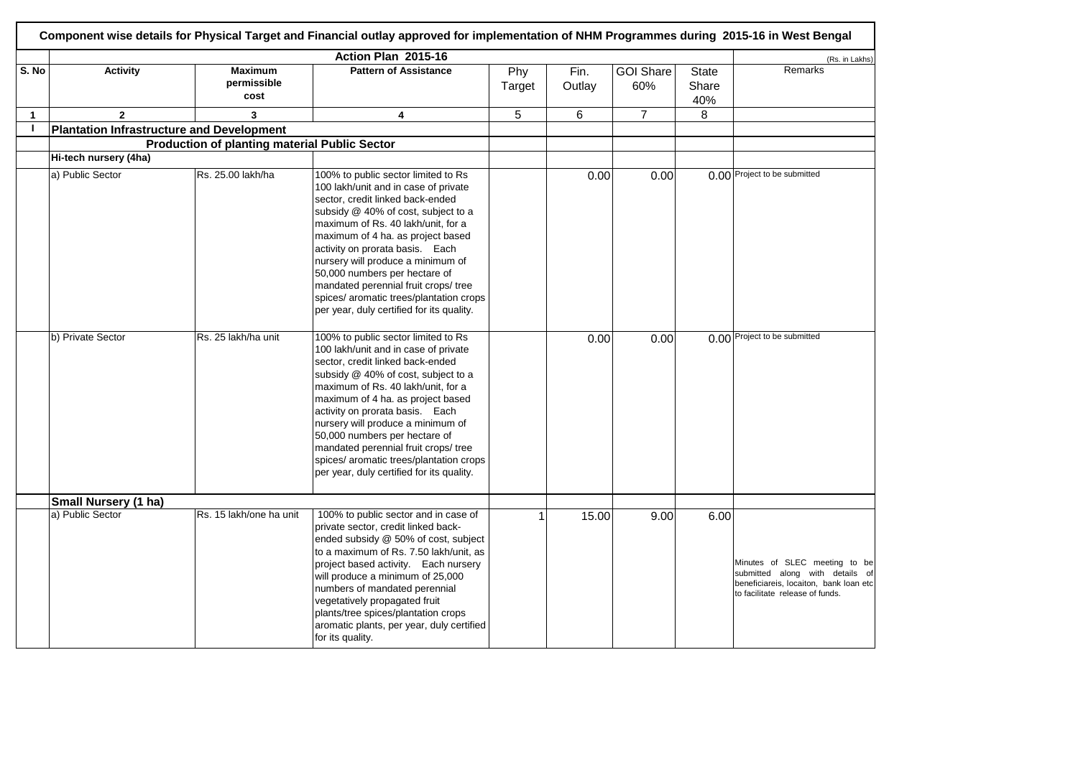|              | Component wise details for Physical Target and Financial outlay approved for implementation of NHM Programmes during 2015-16 in West Bengal |                                                      |                                                                                                                                                                                                                                                                                                                                                                                                                                                                            |               |                |                         |                              |                                                                                                                                               |  |  |  |
|--------------|---------------------------------------------------------------------------------------------------------------------------------------------|------------------------------------------------------|----------------------------------------------------------------------------------------------------------------------------------------------------------------------------------------------------------------------------------------------------------------------------------------------------------------------------------------------------------------------------------------------------------------------------------------------------------------------------|---------------|----------------|-------------------------|------------------------------|-----------------------------------------------------------------------------------------------------------------------------------------------|--|--|--|
|              |                                                                                                                                             |                                                      | Action Plan 2015-16                                                                                                                                                                                                                                                                                                                                                                                                                                                        |               |                |                         |                              | (Rs. in Lakhs)                                                                                                                                |  |  |  |
| S. No        | <b>Activity</b>                                                                                                                             | <b>Maximum</b><br>permissible<br>cost                | <b>Pattern of Assistance</b>                                                                                                                                                                                                                                                                                                                                                                                                                                               | Phy<br>Target | Fin.<br>Outlay | <b>GOI Share</b><br>60% | <b>State</b><br>Share<br>40% | Remarks                                                                                                                                       |  |  |  |
| $\mathbf{1}$ | $\overline{2}$                                                                                                                              | $\overline{\mathbf{3}}$                              | $\overline{\mathbf{4}}$                                                                                                                                                                                                                                                                                                                                                                                                                                                    | 5             | 6              | $\overline{7}$          | 8                            |                                                                                                                                               |  |  |  |
| $\mathbf{I}$ | <b>Plantation Infrastructure and Development</b>                                                                                            |                                                      |                                                                                                                                                                                                                                                                                                                                                                                                                                                                            |               |                |                         |                              |                                                                                                                                               |  |  |  |
|              |                                                                                                                                             | <b>Production of planting material Public Sector</b> |                                                                                                                                                                                                                                                                                                                                                                                                                                                                            |               |                |                         |                              |                                                                                                                                               |  |  |  |
|              | Hi-tech nursery (4ha)                                                                                                                       |                                                      |                                                                                                                                                                                                                                                                                                                                                                                                                                                                            |               |                |                         |                              |                                                                                                                                               |  |  |  |
|              | a) Public Sector                                                                                                                            | Rs. 25.00 lakh/ha                                    | 100% to public sector limited to Rs<br>100 lakh/unit and in case of private<br>sector, credit linked back-ended<br>subsidy @ 40% of cost, subject to a<br>maximum of Rs. 40 lakh/unit, for a<br>maximum of 4 ha. as project based<br>activity on prorata basis. Each<br>nursery will produce a minimum of<br>50,000 numbers per hectare of<br>mandated perennial fruit crops/ tree<br>spices/ aromatic trees/plantation crops<br>per year, duly certified for its quality. |               | 0.00           | 0.00                    |                              | 0.00 Project to be submitted                                                                                                                  |  |  |  |
|              | b) Private Sector                                                                                                                           | Rs. 25 lakh/ha unit                                  | 100% to public sector limited to Rs<br>100 lakh/unit and in case of private<br>sector, credit linked back-ended<br>subsidy @ 40% of cost, subject to a<br>maximum of Rs. 40 lakh/unit, for a<br>maximum of 4 ha. as project based<br>activity on prorata basis. Each<br>nursery will produce a minimum of<br>50,000 numbers per hectare of<br>mandated perennial fruit crops/ tree<br>spices/ aromatic trees/plantation crops<br>per year, duly certified for its quality. |               | 0.00           | 0.00                    |                              | 0.00 Project to be submitted                                                                                                                  |  |  |  |
|              | Small Nursery (1 ha)                                                                                                                        |                                                      |                                                                                                                                                                                                                                                                                                                                                                                                                                                                            |               |                |                         |                              |                                                                                                                                               |  |  |  |
|              | a) Public Sector                                                                                                                            | Rs. 15 lakh/one ha unit                              | 100% to public sector and in case of<br>private sector, credit linked back-<br>ended subsidy @ 50% of cost, subject<br>to a maximum of Rs. 7.50 lakh/unit, as<br>project based activity. Each nursery<br>will produce a minimum of 25,000<br>numbers of mandated perennial<br>vegetatively propagated fruit<br>plants/tree spices/plantation crops<br>aromatic plants, per year, duly certified<br>for its quality.                                                        | $\mathbf{1}$  | 15.00          | 9.00                    | 6.00                         | Minutes of SLEC meeting to be<br>submitted along with details of<br>beneficiareis, locaiton, bank loan etc<br>to facilitate release of funds. |  |  |  |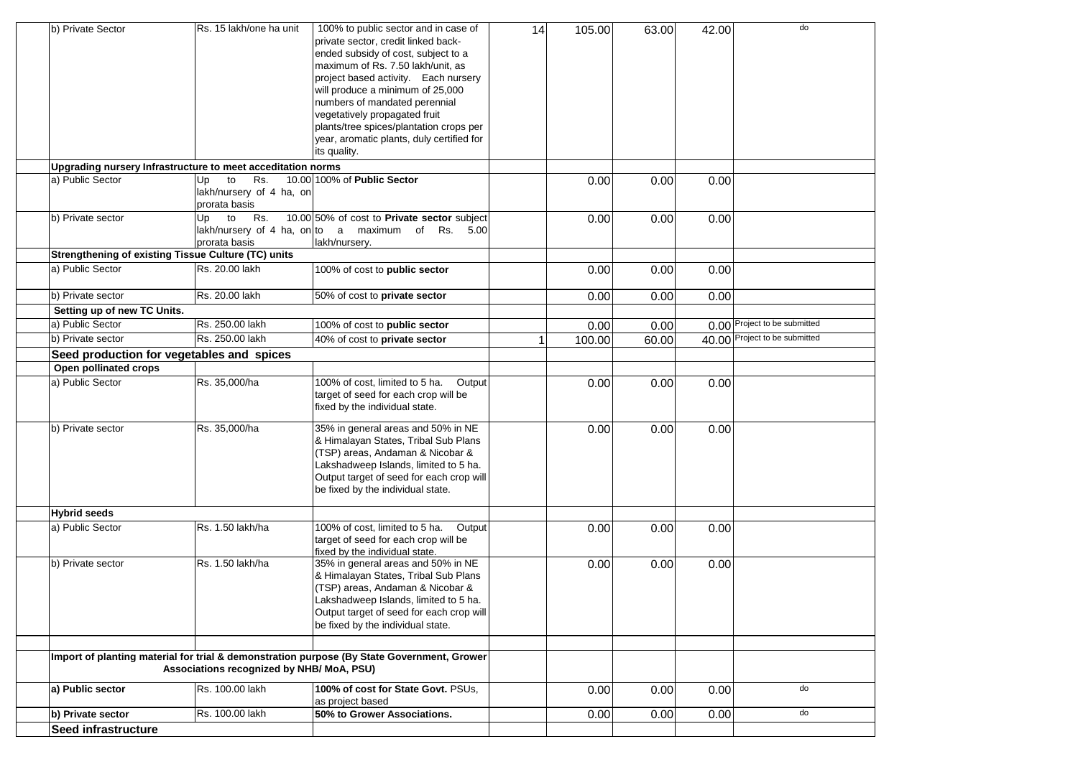| b) Private Sector                                                  | Rs. 15 lakh/one ha unit                   | 100% to public sector and in case of                                                       | 14 | 105.00 | 63.00 | 42.00 | do                            |  |
|--------------------------------------------------------------------|-------------------------------------------|--------------------------------------------------------------------------------------------|----|--------|-------|-------|-------------------------------|--|
|                                                                    |                                           | private sector, credit linked back-                                                        |    |        |       |       |                               |  |
|                                                                    |                                           | ended subsidy of cost, subject to a                                                        |    |        |       |       |                               |  |
|                                                                    |                                           | maximum of Rs. 7.50 lakh/unit, as                                                          |    |        |       |       |                               |  |
|                                                                    |                                           | project based activity. Each nursery                                                       |    |        |       |       |                               |  |
|                                                                    |                                           | will produce a minimum of 25,000                                                           |    |        |       |       |                               |  |
|                                                                    |                                           | numbers of mandated perennial                                                              |    |        |       |       |                               |  |
|                                                                    |                                           | vegetatively propagated fruit                                                              |    |        |       |       |                               |  |
|                                                                    |                                           | plants/tree spices/plantation crops per                                                    |    |        |       |       |                               |  |
|                                                                    |                                           | year, aromatic plants, duly certified for                                                  |    |        |       |       |                               |  |
|                                                                    |                                           | its quality.                                                                               |    |        |       |       |                               |  |
| Upgrading nursery Infrastructure to meet acceditation norms        |                                           |                                                                                            |    |        |       |       |                               |  |
| a) Public Sector                                                   | Rs.<br>to<br>Up                           | 10.00 100% of Public Sector                                                                |    | 0.00   | 0.00  | 0.00  |                               |  |
|                                                                    | lakh/nursery of 4 ha, on                  |                                                                                            |    |        |       |       |                               |  |
|                                                                    | prorata basis                             |                                                                                            |    |        |       |       |                               |  |
| b) Private sector                                                  | Up<br>to<br>Rs.                           | 10.00 50% of cost to Private sector subject                                                |    | 0.00   | 0.00  | 0.00  |                               |  |
|                                                                    |                                           | lakh/nursery of 4 ha, on to a maximum of Rs. 5.00                                          |    |        |       |       |                               |  |
| <b>Strengthening of existing Tissue Culture (TC) units</b>         | prorata basis                             | lakh/nursery.                                                                              |    |        |       |       |                               |  |
| a) Public Sector                                                   | Rs. 20.00 lakh                            | 100% of cost to public sector                                                              |    |        |       |       |                               |  |
|                                                                    |                                           |                                                                                            |    | 0.00   | 0.00  | 0.00  |                               |  |
| b) Private sector                                                  | Rs. 20.00 lakh                            | 50% of cost to private sector                                                              |    | 0.00   | 0.00  | 0.00  |                               |  |
| Setting up of new TC Units.                                        |                                           |                                                                                            |    |        |       |       |                               |  |
| a) Public Sector                                                   | Rs. 250.00 lakh                           | 100% of cost to public sector                                                              |    | 0.00   | 0.00  |       | 0.00 Project to be submitted  |  |
| b) Private sector                                                  | Rs. 250.00 lakh                           | 40% of cost to private sector                                                              |    | 100.00 | 60.00 |       | 40.00 Project to be submitted |  |
|                                                                    |                                           |                                                                                            |    |        |       |       |                               |  |
| Seed production for vegetables and spices<br>Open pollinated crops |                                           |                                                                                            |    |        |       |       |                               |  |
| a) Public Sector                                                   | Rs. 35,000/ha                             | 100% of cost, limited to 5 ha.                                                             |    |        |       |       |                               |  |
|                                                                    |                                           | Output<br>target of seed for each crop will be                                             |    | 0.00   | 0.00  | 0.00  |                               |  |
|                                                                    |                                           | fixed by the individual state.                                                             |    |        |       |       |                               |  |
|                                                                    |                                           |                                                                                            |    |        |       |       |                               |  |
| b) Private sector                                                  | Rs. 35,000/ha                             | 35% in general areas and 50% in NE                                                         |    | 0.00   | 0.00  | 0.00  |                               |  |
|                                                                    |                                           | & Himalayan States, Tribal Sub Plans                                                       |    |        |       |       |                               |  |
|                                                                    |                                           | (TSP) areas, Andaman & Nicobar &                                                           |    |        |       |       |                               |  |
|                                                                    |                                           | Lakshadweep Islands, limited to 5 ha.                                                      |    |        |       |       |                               |  |
|                                                                    |                                           | Output target of seed for each crop will                                                   |    |        |       |       |                               |  |
|                                                                    |                                           | be fixed by the individual state.                                                          |    |        |       |       |                               |  |
| <b>Hybrid seeds</b>                                                |                                           |                                                                                            |    |        |       |       |                               |  |
| a) Public Sector                                                   | Rs. 1.50 lakh/ha                          | 100% of cost, limited to 5 ha.<br>Output                                                   |    | 0.00   | 0.00  | 0.00  |                               |  |
|                                                                    |                                           | target of seed for each crop will be                                                       |    |        |       |       |                               |  |
|                                                                    |                                           | fixed by the individual state.                                                             |    |        |       |       |                               |  |
| b) Private sector                                                  | Rs. 1.50 lakh/ha                          | 35% in general areas and 50% in NE                                                         |    | 0.00   | 0.00  | 0.00  |                               |  |
|                                                                    |                                           | & Himalayan States, Tribal Sub Plans                                                       |    |        |       |       |                               |  |
|                                                                    |                                           | (TSP) areas, Andaman & Nicobar &                                                           |    |        |       |       |                               |  |
|                                                                    |                                           | Lakshadweep Islands, limited to 5 ha.                                                      |    |        |       |       |                               |  |
|                                                                    |                                           | Output target of seed for each crop will                                                   |    |        |       |       |                               |  |
|                                                                    |                                           | be fixed by the individual state.                                                          |    |        |       |       |                               |  |
|                                                                    |                                           |                                                                                            |    |        |       |       |                               |  |
|                                                                    |                                           | Import of planting material for trial & demonstration purpose (By State Government, Grower |    |        |       |       |                               |  |
|                                                                    | Associations recognized by NHB/ MoA, PSU) |                                                                                            |    |        |       |       |                               |  |
| a) Public sector                                                   | Rs. 100.00 lakh                           | 100% of cost for State Govt. PSUs,                                                         |    | 0.00   | 0.00  | 0.00  | do                            |  |
|                                                                    |                                           | as project based                                                                           |    |        |       |       |                               |  |
| b) Private sector                                                  | Rs. 100.00 lakh                           | 50% to Grower Associations.                                                                |    | 0.00   | 0.00  | 0.00  | do                            |  |
| Seed infrastructure                                                |                                           |                                                                                            |    |        |       |       |                               |  |
|                                                                    |                                           |                                                                                            |    |        |       |       |                               |  |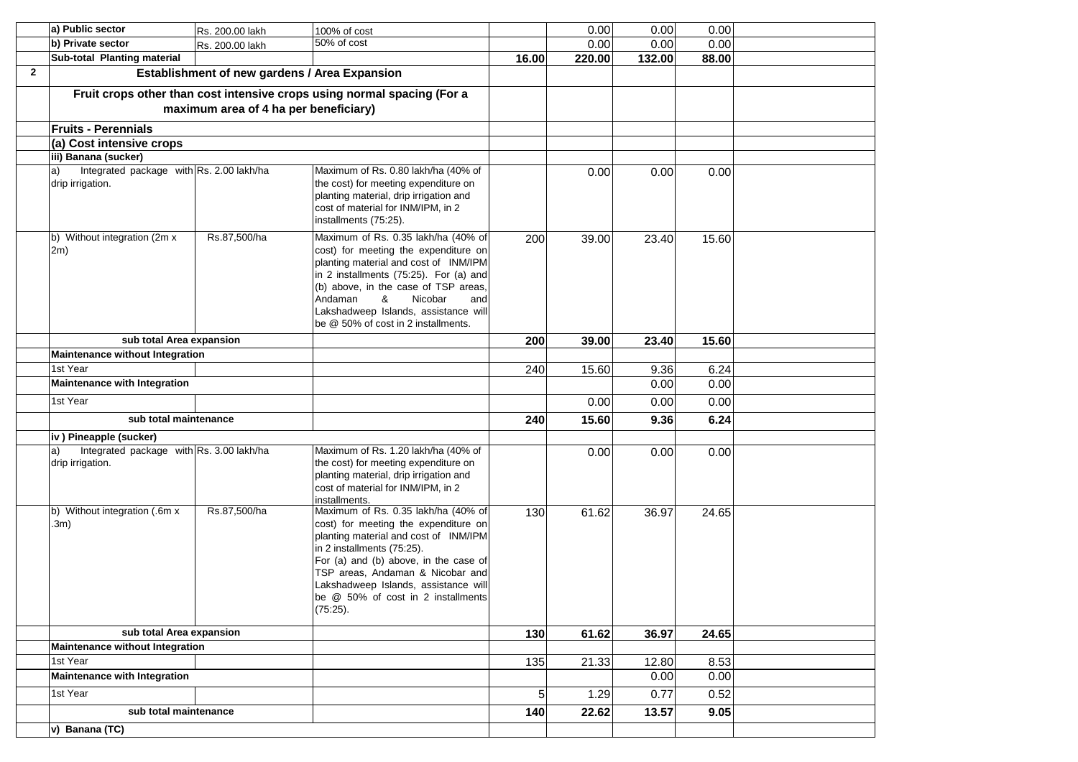|                | a) Public sector                                                   | Rs. 200.00 lakh                               | 100% of cost                                                                                                                                                                                                                                                                                                                   |                | 0.00   | 0.00   | 0.00  |  |
|----------------|--------------------------------------------------------------------|-----------------------------------------------|--------------------------------------------------------------------------------------------------------------------------------------------------------------------------------------------------------------------------------------------------------------------------------------------------------------------------------|----------------|--------|--------|-------|--|
|                | b) Private sector                                                  | Rs. 200.00 lakh                               | 50% of cost                                                                                                                                                                                                                                                                                                                    |                | 0.00   | 0.00   | 0.00  |  |
|                | Sub-total Planting material                                        |                                               |                                                                                                                                                                                                                                                                                                                                | 16.00          | 220.00 | 132.00 | 88.00 |  |
| $\overline{2}$ |                                                                    | Establishment of new gardens / Area Expansion |                                                                                                                                                                                                                                                                                                                                |                |        |        |       |  |
|                |                                                                    | maximum area of 4 ha per beneficiary)         | Fruit crops other than cost intensive crops using normal spacing (For a                                                                                                                                                                                                                                                        |                |        |        |       |  |
|                | <b>Fruits - Perennials</b>                                         |                                               |                                                                                                                                                                                                                                                                                                                                |                |        |        |       |  |
|                | (a) Cost intensive crops                                           |                                               |                                                                                                                                                                                                                                                                                                                                |                |        |        |       |  |
|                | iii) Banana (sucker)                                               |                                               |                                                                                                                                                                                                                                                                                                                                |                |        |        |       |  |
|                | Integrated package with Rs. 2.00 lakh/ha<br>a)<br>drip irrigation. |                                               | Maximum of Rs. 0.80 lakh/ha (40% of<br>the cost) for meeting expenditure on<br>planting material, drip irrigation and<br>cost of material for INM/IPM, in 2<br>installments (75:25).                                                                                                                                           |                | 0.00   | 0.00   | 0.00  |  |
|                | b) Without integration (2m x<br>2m)                                | Rs.87,500/ha                                  | Maximum of Rs. 0.35 lakh/ha (40% of<br>cost) for meeting the expenditure on<br>planting material and cost of INM/IPM<br>in 2 installments (75:25). For (a) and<br>(b) above, in the case of TSP areas,<br>Andaman<br>Nicobar<br>&<br>and<br>Lakshadweep Islands, assistance will<br>be @ 50% of cost in 2 installments.        | 200            | 39.00  | 23.40  | 15.60 |  |
|                | sub total Area expansion                                           |                                               |                                                                                                                                                                                                                                                                                                                                | 200            | 39.00  | 23.40  | 15.60 |  |
|                | Maintenance without Integration                                    |                                               |                                                                                                                                                                                                                                                                                                                                |                |        |        |       |  |
|                | 1st Year                                                           |                                               |                                                                                                                                                                                                                                                                                                                                | 240            | 15.60  | 9.36   | 6.24  |  |
|                | Maintenance with Integration                                       |                                               |                                                                                                                                                                                                                                                                                                                                |                |        | 0.00   | 0.00  |  |
|                | 1st Year                                                           |                                               |                                                                                                                                                                                                                                                                                                                                |                | 0.00   | 0.00   | 0.00  |  |
|                | sub total maintenance                                              |                                               |                                                                                                                                                                                                                                                                                                                                | 240            | 15.60  | 9.36   | 6.24  |  |
|                | iv) Pineapple (sucker)                                             |                                               |                                                                                                                                                                                                                                                                                                                                |                |        |        |       |  |
|                | Integrated package with Rs. 3.00 lakh/ha<br>a)<br>drip irrigation. |                                               | Maximum of Rs. 1.20 lakh/ha (40% of<br>the cost) for meeting expenditure on<br>planting material, drip irrigation and<br>cost of material for INM/IPM, in 2<br>installments.                                                                                                                                                   |                | 0.00   | 0.00   | 0.00  |  |
|                | b) Without integration (.6m x<br>$.3m$ )                           | Rs.87,500/ha                                  | Maximum of Rs. 0.35 lakh/ha (40% of<br>cost) for meeting the expenditure on<br>planting material and cost of INM/IPM<br>in 2 installments (75:25).<br>For (a) and (b) above, in the case of<br>TSP areas, Andaman & Nicobar and<br>Lakshadweep Islands, assistance will<br>be $@$ 50% of cost in 2 installments<br>$(75:25)$ . | 130            | 61.62  | 36.97  | 24.65 |  |
|                | sub total Area expansion                                           |                                               |                                                                                                                                                                                                                                                                                                                                | 130            | 61.62  | 36.97  | 24.65 |  |
|                | Maintenance without Integration                                    |                                               |                                                                                                                                                                                                                                                                                                                                |                |        |        |       |  |
|                | 1st Year                                                           |                                               |                                                                                                                                                                                                                                                                                                                                | 135            | 21.33  | 12.80  | 8.53  |  |
|                | Maintenance with Integration                                       |                                               |                                                                                                                                                                                                                                                                                                                                |                |        | 0.00   | 0.00  |  |
|                | 1st Year                                                           |                                               |                                                                                                                                                                                                                                                                                                                                | 5 <sup>1</sup> | 1.29   | 0.77   | 0.52  |  |
|                | sub total maintenance                                              |                                               |                                                                                                                                                                                                                                                                                                                                | 140            | 22.62  | 13.57  | 9.05  |  |
|                | v) Banana (TC)                                                     |                                               |                                                                                                                                                                                                                                                                                                                                |                |        |        |       |  |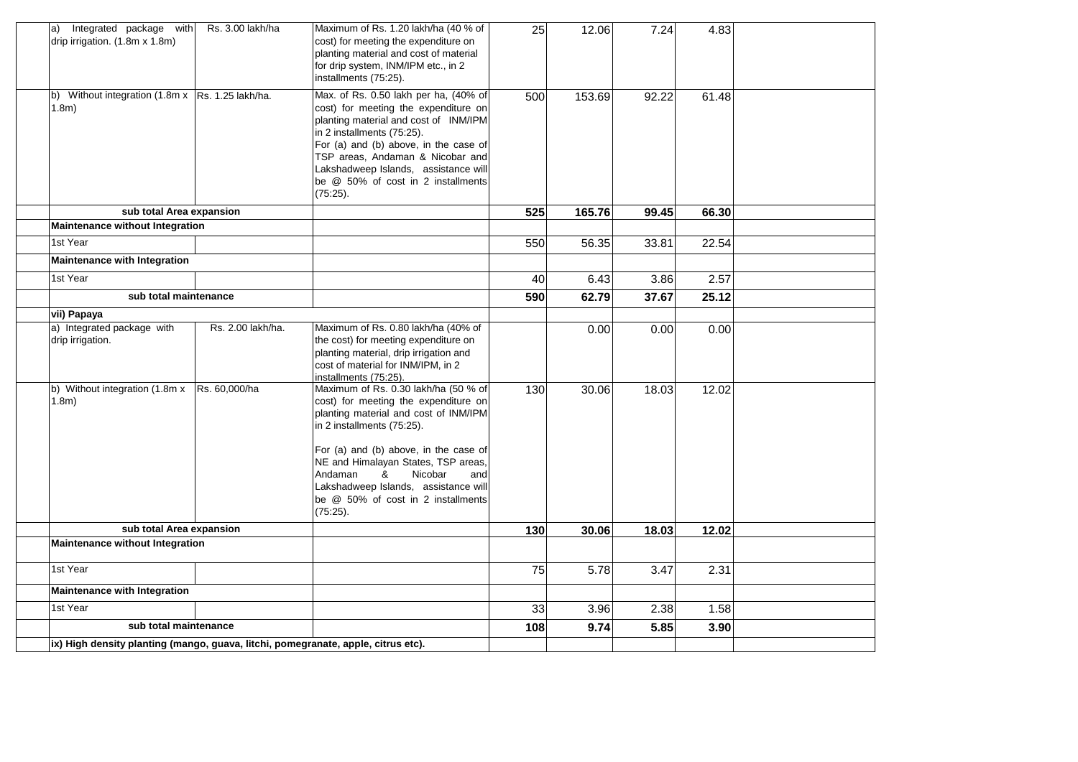| Integrated package with<br>a)<br>drip irrigation. (1.8m x 1.8m)                   | Rs. 3.00 lakh/ha  | Maximum of Rs. 1.20 lakh/ha (40 % of<br>cost) for meeting the expenditure on<br>planting material and cost of material<br>for drip system, INM/IPM etc., in 2<br>installments (75:25).                                                                                                                                                                             | 25  | 12.06  | 7.24  | 4.83  |  |
|-----------------------------------------------------------------------------------|-------------------|--------------------------------------------------------------------------------------------------------------------------------------------------------------------------------------------------------------------------------------------------------------------------------------------------------------------------------------------------------------------|-----|--------|-------|-------|--|
| b) Without integration (1.8m x Rs. 1.25 lakh/ha.<br>$1.8m$ )                      |                   | Max. of Rs. 0.50 lakh per ha, (40% of<br>cost) for meeting the expenditure on<br>planting material and cost of INM/IPM<br>in 2 installments (75:25).<br>For (a) and (b) above, in the case of<br>TSP areas, Andaman & Nicobar and<br>Lakshadweep Islands, assistance will<br>be @ 50% of cost in 2 installments<br>$(75:25)$ .                                     | 500 | 153.69 | 92.22 | 61.48 |  |
| sub total Area expansion                                                          |                   |                                                                                                                                                                                                                                                                                                                                                                    | 525 | 165.76 | 99.45 | 66.30 |  |
| <b>Maintenance without Integration</b>                                            |                   |                                                                                                                                                                                                                                                                                                                                                                    |     |        |       |       |  |
| 1st Year                                                                          |                   |                                                                                                                                                                                                                                                                                                                                                                    | 550 | 56.35  | 33.81 | 22.54 |  |
| <b>Maintenance with Integration</b>                                               |                   |                                                                                                                                                                                                                                                                                                                                                                    |     |        |       |       |  |
| 1st Year                                                                          |                   |                                                                                                                                                                                                                                                                                                                                                                    | 40  | 6.43   | 3.86  | 2.57  |  |
| sub total maintenance                                                             |                   |                                                                                                                                                                                                                                                                                                                                                                    | 590 | 62.79  | 37.67 | 25.12 |  |
| vii) Papaya                                                                       |                   |                                                                                                                                                                                                                                                                                                                                                                    |     |        |       |       |  |
| a) Integrated package with<br>drip irrigation.                                    | Rs. 2.00 lakh/ha. | Maximum of Rs. 0.80 lakh/ha (40% of<br>the cost) for meeting expenditure on<br>planting material, drip irrigation and<br>cost of material for INM/IPM, in 2<br>installments (75:25).                                                                                                                                                                               |     | 0.00   | 0.00  | 0.00  |  |
| b) Without integration (1.8m x<br>$1.8m$ )                                        | Rs. 60,000/ha     | Maximum of Rs. 0.30 lakh/ha (50 % of<br>cost) for meeting the expenditure on<br>planting material and cost of INM/IPM<br>in 2 installments (75:25).<br>For (a) and (b) above, in the case of<br>NE and Himalayan States, TSP areas,<br>&<br>Nicobar<br>Andaman<br>and<br>Lakshadweep Islands, assistance will<br>be @ 50% of cost in 2 installments<br>$(75:25)$ . | 130 | 30.06  | 18.03 | 12.02 |  |
| sub total Area expansion                                                          |                   |                                                                                                                                                                                                                                                                                                                                                                    | 130 | 30.06  | 18.03 | 12.02 |  |
| Maintenance without Integration                                                   |                   |                                                                                                                                                                                                                                                                                                                                                                    |     |        |       |       |  |
| 1st Year                                                                          |                   |                                                                                                                                                                                                                                                                                                                                                                    | 75  | 5.78   | 3.47  | 2.31  |  |
| <b>Maintenance with Integration</b>                                               |                   |                                                                                                                                                                                                                                                                                                                                                                    |     |        |       |       |  |
| 1st Year                                                                          |                   |                                                                                                                                                                                                                                                                                                                                                                    | 33  | 3.96   | 2.38  | 1.58  |  |
| sub total maintenance                                                             |                   |                                                                                                                                                                                                                                                                                                                                                                    | 108 | 9.74   | 5.85  | 3.90  |  |
| ix) High density planting (mango, guava, litchi, pomegranate, apple, citrus etc). |                   |                                                                                                                                                                                                                                                                                                                                                                    |     |        |       |       |  |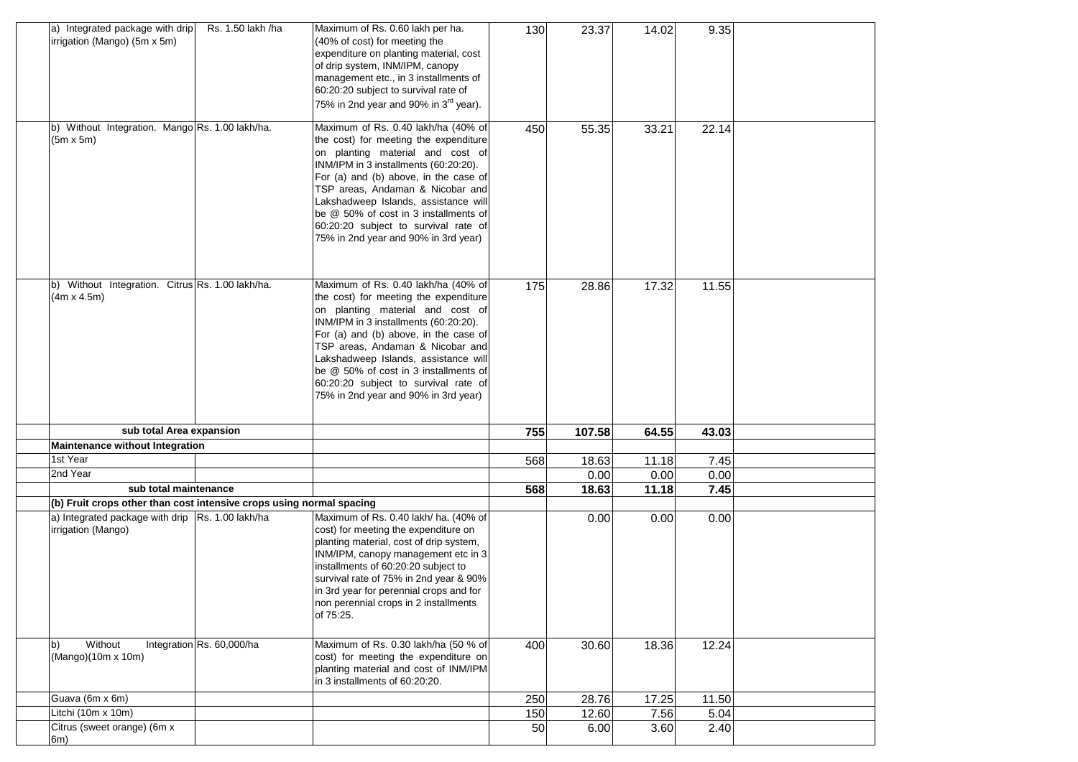| a) Integrated package with drip<br>irrigation (Mango) (5m x 5m)        | Rs. 1.50 lakh /ha         | Maximum of Rs. 0.60 lakh per ha.<br>(40% of cost) for meeting the<br>expenditure on planting material, cost<br>of drip system, INM/IPM, canopy<br>management etc., in 3 installments of<br>60:20:20 subject to survival rate of<br>75% in 2nd year and 90% in 3 <sup>rd</sup> year).                                                                                                                    | 130 | 23.37  | 14.02 | 9.35  |  |
|------------------------------------------------------------------------|---------------------------|---------------------------------------------------------------------------------------------------------------------------------------------------------------------------------------------------------------------------------------------------------------------------------------------------------------------------------------------------------------------------------------------------------|-----|--------|-------|-------|--|
| b) Without Integration. Mango Rs. 1.00 lakh/ha.<br>$(5m \times 5m)$    |                           | Maximum of Rs. 0.40 lakh/ha (40% of<br>the cost) for meeting the expenditure<br>on planting material and cost of<br>INM/IPM in 3 installments (60:20:20).<br>For (a) and (b) above, in the case of<br>TSP areas, Andaman & Nicobar and<br>Lakshadweep Islands, assistance will<br>be @ 50% of cost in 3 installments of<br>60:20:20 subject to survival rate of<br>75% in 2nd year and 90% in 3rd year) | 450 | 55.35  | 33.21 | 22.14 |  |
| b) Without Integration. Citrus Rs. 1.00 lakh/ha.<br>$(4m \times 4.5m)$ |                           | Maximum of Rs. 0.40 lakh/ha (40% of<br>the cost) for meeting the expenditure<br>on planting material and cost of<br>INM/IPM in 3 installments (60:20:20).<br>For (a) and (b) above, in the case of<br>TSP areas, Andaman & Nicobar and<br>Lakshadweep Islands, assistance will<br>be @ 50% of cost in 3 installments of<br>60:20:20 subject to survival rate of<br>75% in 2nd year and 90% in 3rd year) | 175 | 28.86  | 17.32 | 11.55 |  |
| sub total Area expansion                                               |                           |                                                                                                                                                                                                                                                                                                                                                                                                         | 755 | 107.58 | 64.55 | 43.03 |  |
| Maintenance without Integration                                        |                           |                                                                                                                                                                                                                                                                                                                                                                                                         |     |        |       |       |  |
| 1st Year                                                               |                           |                                                                                                                                                                                                                                                                                                                                                                                                         | 568 | 18.63  | 11.18 | 7.45  |  |
| 2nd Year                                                               |                           |                                                                                                                                                                                                                                                                                                                                                                                                         |     | 0.00   | 0.00  | 0.00  |  |
| sub total maintenance                                                  |                           |                                                                                                                                                                                                                                                                                                                                                                                                         | 568 | 18.63  | 11.18 | 7.45  |  |
| (b) Fruit crops other than cost intensive crops using normal spacing   |                           |                                                                                                                                                                                                                                                                                                                                                                                                         |     |        |       |       |  |
| a) Integrated package with drip Rs. 1.00 lakh/ha<br>irrigation (Mango) |                           | Maximum of Rs. 0.40 lakh/ ha. (40% of<br>cost) for meeting the expenditure on<br>planting material, cost of drip system,<br>INM/IPM, canopy management etc in 3<br>installments of 60:20:20 subject to<br>survival rate of 75% in 2nd year & 90%<br>in 3rd year for perennial crops and for<br>non perennial crops in 2 installments<br>of 75:25.                                                       |     | 0.00   | 0.00  | 0.00  |  |
| Without<br>b)<br>(Mango)(10m x 10m)                                    | Integration Rs. 60,000/ha | Maximum of Rs. 0.30 lakh/ha (50 % of<br>cost) for meeting the expenditure on<br>planting material and cost of INM/IPM<br>in 3 installments of 60:20:20.                                                                                                                                                                                                                                                 | 400 | 30.60  | 18.36 | 12.24 |  |
| Guava (6m x 6m)                                                        |                           |                                                                                                                                                                                                                                                                                                                                                                                                         | 250 | 28.76  | 17.25 | 11.50 |  |
| Litchi (10m x 10m)                                                     |                           |                                                                                                                                                                                                                                                                                                                                                                                                         | 150 | 12.60  | 7.56  | 5.04  |  |
| Citrus (sweet orange) (6m x<br>6m)                                     |                           |                                                                                                                                                                                                                                                                                                                                                                                                         | 50  | 6.00   | 3.60  | 2.40  |  |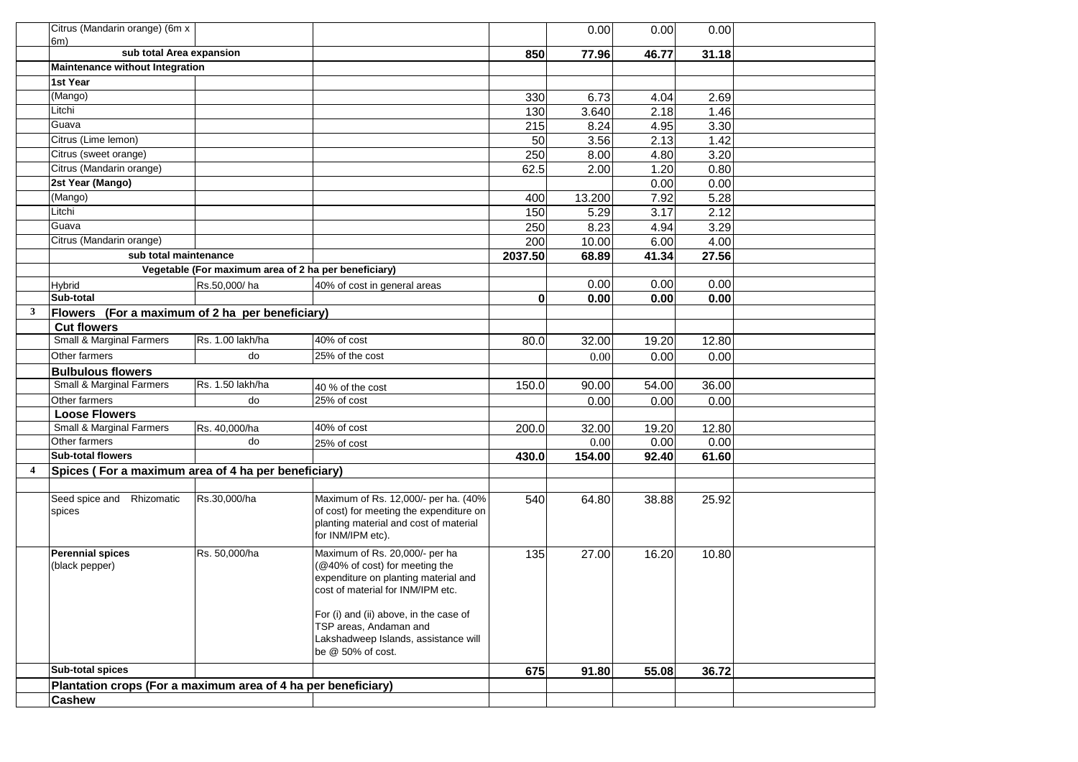|                | Citrus (Mandarin orange) (6m x                                |                                                      |                                                                                                                                                                                         |          | 0.00   | 0.00  | 0.00  |  |
|----------------|---------------------------------------------------------------|------------------------------------------------------|-----------------------------------------------------------------------------------------------------------------------------------------------------------------------------------------|----------|--------|-------|-------|--|
|                | 6m)<br>sub total Area expansion                               |                                                      |                                                                                                                                                                                         | 850      | 77.96  | 46.77 | 31.18 |  |
|                | Maintenance without Integration                               |                                                      |                                                                                                                                                                                         |          |        |       |       |  |
|                | 1st Year                                                      |                                                      |                                                                                                                                                                                         |          |        |       |       |  |
|                | (Mango)                                                       |                                                      |                                                                                                                                                                                         | 330      | 6.73   | 4.04  | 2.69  |  |
|                | Litchi                                                        |                                                      |                                                                                                                                                                                         | 130      | 3.640  | 2.18  | 1.46  |  |
|                | Guava                                                         |                                                      |                                                                                                                                                                                         | 215      | 8.24   | 4.95  | 3.30  |  |
|                | Citrus (Lime lemon)                                           |                                                      |                                                                                                                                                                                         | 50       | 3.56   | 2.13  | 1.42  |  |
|                | Citrus (sweet orange)                                         |                                                      |                                                                                                                                                                                         | 250      | 8.00   | 4.80  | 3.20  |  |
|                | Citrus (Mandarin orange)                                      |                                                      |                                                                                                                                                                                         | 62.5     | 2.00   | 1.20  | 0.80  |  |
|                | 2st Year (Mango)                                              |                                                      |                                                                                                                                                                                         |          |        | 0.00  | 0.00  |  |
|                | (Mango)                                                       |                                                      |                                                                                                                                                                                         | 400      | 13.200 | 7.92  | 5.28  |  |
|                | Litchi                                                        |                                                      |                                                                                                                                                                                         | 150      | 5.29   | 3.17  | 2.12  |  |
|                | Guava                                                         |                                                      |                                                                                                                                                                                         | 250      | 8.23   | 4.94  | 3.29  |  |
|                | Citrus (Mandarin orange)                                      |                                                      |                                                                                                                                                                                         | 200      | 10.00  | 6.00  | 4.00  |  |
|                | sub total maintenance                                         |                                                      |                                                                                                                                                                                         | 2037.50  | 68.89  | 41.34 | 27.56 |  |
|                |                                                               | Vegetable (For maximum area of 2 ha per beneficiary) |                                                                                                                                                                                         |          |        |       |       |  |
|                | <b>Hybrid</b>                                                 | Rs.50,000/ha                                         | 40% of cost in general areas                                                                                                                                                            |          | 0.00   | 0.00  | 0.00  |  |
|                | Sub-total                                                     |                                                      |                                                                                                                                                                                         | $\bf{0}$ | 0.00   | 0.00  | 0.00  |  |
| 3              | <b>Flowers</b>                                                | (For a maximum of 2 ha per beneficiary)              |                                                                                                                                                                                         |          |        |       |       |  |
|                | <b>Cut flowers</b>                                            |                                                      |                                                                                                                                                                                         |          |        |       |       |  |
|                | Small & Marginal Farmers                                      | Rs. 1.00 lakh/ha                                     | 40% of cost                                                                                                                                                                             | 80.0     | 32.00  | 19.20 | 12.80 |  |
|                | Other farmers                                                 | do                                                   | 25% of the cost                                                                                                                                                                         |          | 0.00   | 0.00  | 0.00  |  |
|                | <b>Bulbulous flowers</b>                                      |                                                      |                                                                                                                                                                                         |          |        |       |       |  |
|                | Small & Marginal Farmers                                      | Rs. 1.50 lakh/ha                                     | 40 % of the cost                                                                                                                                                                        | 150.0    | 90.00  | 54.00 | 36.00 |  |
|                | Other farmers                                                 | do                                                   | 25% of cost                                                                                                                                                                             |          | 0.00   | 0.00  | 0.00  |  |
|                | <b>Loose Flowers</b>                                          |                                                      |                                                                                                                                                                                         |          |        |       |       |  |
|                | Small & Marginal Farmers                                      | Rs. 40,000/ha                                        | 40% of cost                                                                                                                                                                             | 200.0    | 32.00  | 19.20 | 12.80 |  |
|                | Other farmers                                                 | do                                                   | 25% of cost                                                                                                                                                                             |          | 0.00   | 0.00  | 0.00  |  |
|                | <b>Sub-total flowers</b>                                      |                                                      |                                                                                                                                                                                         | 430.0    | 154.00 | 92.40 | 61.60 |  |
| $\overline{4}$ | Spices (For a maximum area of 4 ha per beneficiary)           |                                                      |                                                                                                                                                                                         |          |        |       |       |  |
|                |                                                               |                                                      |                                                                                                                                                                                         |          |        |       |       |  |
|                | Seed spice and Rhizomatic<br>spices                           | Rs.30,000/ha                                         | Maximum of Rs. 12,000/- per ha. (40%<br>of cost) for meeting the expenditure on<br>planting material and cost of material<br>for INM/IPM etc).                                          | 540      | 64.80  | 38.88 | 25.92 |  |
|                | <b>Perennial spices</b><br>(black pepper)                     | Rs. 50,000/ha                                        | Maximum of Rs. 20,000/- per ha<br>(@40% of cost) for meeting the<br>expenditure on planting material and<br>cost of material for INM/IPM etc.<br>For (i) and (ii) above, in the case of | 135      | 27.00  | 16.20 | 10.80 |  |
|                |                                                               |                                                      | TSP areas, Andaman and<br>Lakshadweep Islands, assistance will<br>be @ 50% of cost.                                                                                                     |          |        |       |       |  |
|                | <b>Sub-total spices</b>                                       |                                                      |                                                                                                                                                                                         | 675      | 91.80  | 55.08 | 36.72 |  |
|                | Plantation crops (For a maximum area of 4 ha per beneficiary) |                                                      |                                                                                                                                                                                         |          |        |       |       |  |
|                | <b>Cashew</b>                                                 |                                                      |                                                                                                                                                                                         |          |        |       |       |  |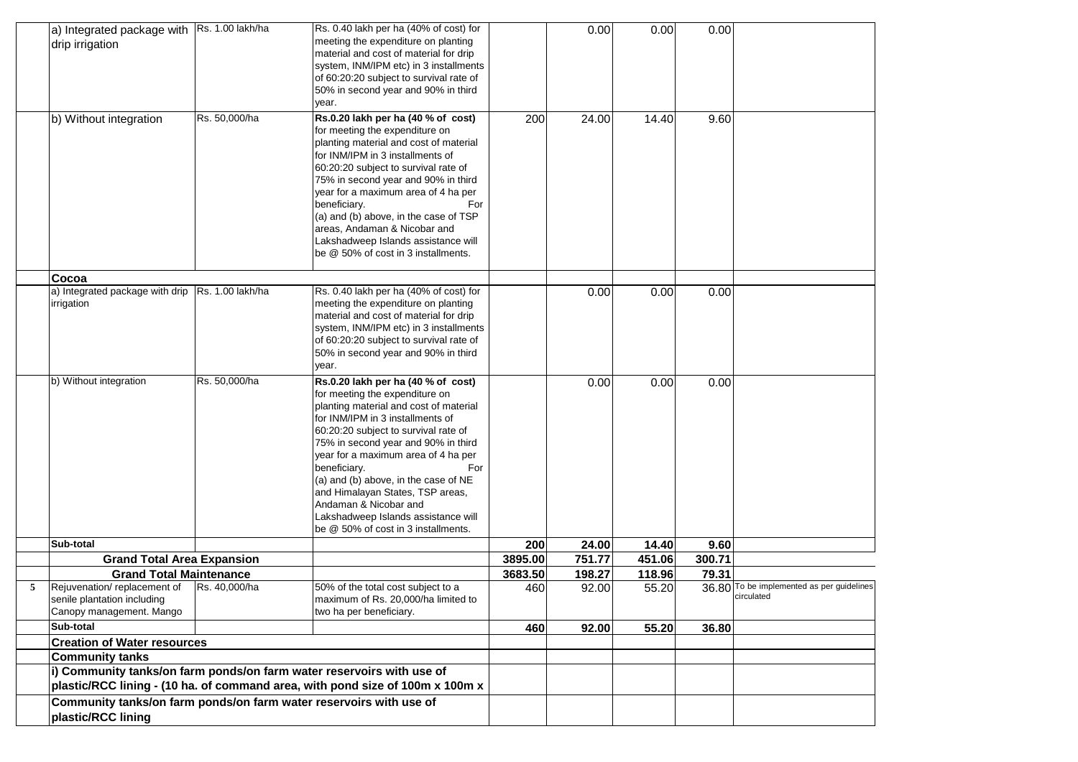|   | a) Integrated package with Rs. 1.00 lakh/ha                                                                                                            |               | Rs. 0.40 lakh per ha (40% of cost) for                                         |                    | 0.00            | 0.00             | 0.00            |                                           |
|---|--------------------------------------------------------------------------------------------------------------------------------------------------------|---------------|--------------------------------------------------------------------------------|--------------------|-----------------|------------------|-----------------|-------------------------------------------|
|   | drip irrigation                                                                                                                                        |               | meeting the expenditure on planting                                            |                    |                 |                  |                 |                                           |
|   |                                                                                                                                                        |               | material and cost of material for drip                                         |                    |                 |                  |                 |                                           |
|   |                                                                                                                                                        |               | system, INM/IPM etc) in 3 installments                                         |                    |                 |                  |                 |                                           |
|   |                                                                                                                                                        |               | of 60:20:20 subject to survival rate of                                        |                    |                 |                  |                 |                                           |
|   |                                                                                                                                                        |               | 50% in second year and 90% in third                                            |                    |                 |                  |                 |                                           |
|   |                                                                                                                                                        |               | year.                                                                          |                    |                 |                  |                 |                                           |
|   | b) Without integration                                                                                                                                 | Rs. 50,000/ha | Rs.0.20 lakh per ha (40 % of cost)<br>for meeting the expenditure on           | 200                | 24.00           | 14.40            | 9.60            |                                           |
|   |                                                                                                                                                        |               | planting material and cost of material                                         |                    |                 |                  |                 |                                           |
|   |                                                                                                                                                        |               | for INM/IPM in 3 installments of                                               |                    |                 |                  |                 |                                           |
|   |                                                                                                                                                        |               | 60:20:20 subject to survival rate of                                           |                    |                 |                  |                 |                                           |
|   |                                                                                                                                                        |               | 75% in second year and 90% in third                                            |                    |                 |                  |                 |                                           |
|   |                                                                                                                                                        |               | year for a maximum area of 4 ha per                                            |                    |                 |                  |                 |                                           |
|   |                                                                                                                                                        |               | beneficiary.<br>For                                                            |                    |                 |                  |                 |                                           |
|   |                                                                                                                                                        |               | (a) and (b) above, in the case of TSP                                          |                    |                 |                  |                 |                                           |
|   |                                                                                                                                                        |               | areas, Andaman & Nicobar and                                                   |                    |                 |                  |                 |                                           |
|   |                                                                                                                                                        |               | Lakshadweep Islands assistance will                                            |                    |                 |                  |                 |                                           |
|   |                                                                                                                                                        |               | be @ 50% of cost in 3 installments.                                            |                    |                 |                  |                 |                                           |
|   | Cocoa                                                                                                                                                  |               |                                                                                |                    |                 |                  |                 |                                           |
|   | a) Integrated package with drip Rs. 1.00 lakh/ha                                                                                                       |               | Rs. 0.40 lakh per ha (40% of cost) for                                         |                    | 0.00            | 0.00             | 0.00            |                                           |
|   | irrigation                                                                                                                                             |               | meeting the expenditure on planting                                            |                    |                 |                  |                 |                                           |
|   |                                                                                                                                                        |               | material and cost of material for drip                                         |                    |                 |                  |                 |                                           |
|   |                                                                                                                                                        |               | system, INM/IPM etc) in 3 installments                                         |                    |                 |                  |                 |                                           |
|   |                                                                                                                                                        |               | of 60:20:20 subject to survival rate of<br>50% in second year and 90% in third |                    |                 |                  |                 |                                           |
|   |                                                                                                                                                        |               | year.                                                                          |                    |                 |                  |                 |                                           |
|   | b) Without integration                                                                                                                                 | Rs. 50,000/ha | Rs.0.20 lakh per ha (40 % of cost)                                             |                    | 0.00            | 0.00             | 0.00            |                                           |
|   |                                                                                                                                                        |               | for meeting the expenditure on                                                 |                    |                 |                  |                 |                                           |
|   |                                                                                                                                                        |               | planting material and cost of material                                         |                    |                 |                  |                 |                                           |
|   |                                                                                                                                                        |               | for INM/IPM in 3 installments of                                               |                    |                 |                  |                 |                                           |
|   |                                                                                                                                                        |               | 60:20:20 subject to survival rate of<br>75% in second year and 90% in third    |                    |                 |                  |                 |                                           |
|   |                                                                                                                                                        |               | year for a maximum area of 4 ha per                                            |                    |                 |                  |                 |                                           |
|   |                                                                                                                                                        |               | beneficiary.<br>For                                                            |                    |                 |                  |                 |                                           |
|   |                                                                                                                                                        |               | (a) and (b) above, in the case of NE                                           |                    |                 |                  |                 |                                           |
|   |                                                                                                                                                        |               | and Himalayan States, TSP areas,                                               |                    |                 |                  |                 |                                           |
|   |                                                                                                                                                        |               | Andaman & Nicobar and                                                          |                    |                 |                  |                 |                                           |
|   |                                                                                                                                                        |               | Lakshadweep Islands assistance will                                            |                    |                 |                  |                 |                                           |
|   |                                                                                                                                                        |               | be @ 50% of cost in 3 installments.                                            |                    |                 |                  |                 |                                           |
|   | Sub-total                                                                                                                                              |               |                                                                                | 200                | 24.00<br>751.77 | 14.40            | 9.60            |                                           |
|   | <b>Grand Total Area Expansion</b><br><b>Grand Total Maintenance</b>                                                                                    |               |                                                                                | 3895.00<br>3683.50 | 198.27          | 451.06<br>118.96 | 300.71<br>79.31 |                                           |
| 5 | Rejuvenation/replacement of                                                                                                                            | Rs. 40,000/ha | 50% of the total cost subject to a                                             | 460                | 92.00           | 55.20            |                 | 36.80 To be implemented as per guidelines |
|   | senile plantation including                                                                                                                            |               | maximum of Rs. 20,000/ha limited to                                            |                    |                 |                  |                 | circulated                                |
|   | Canopy management. Mango                                                                                                                               |               | two ha per beneficiary.                                                        |                    |                 |                  |                 |                                           |
|   | Sub-total                                                                                                                                              |               |                                                                                | 460                | 92.00           | 55.20            | 36.80           |                                           |
|   | <b>Creation of Water resources</b>                                                                                                                     |               |                                                                                |                    |                 |                  |                 |                                           |
|   | <b>Community tanks</b>                                                                                                                                 |               |                                                                                |                    |                 |                  |                 |                                           |
|   | i) Community tanks/on farm ponds/on farm water reservoirs with use of<br>plastic/RCC lining - (10 ha. of command area, with pond size of 100m x 100m x |               |                                                                                |                    |                 |                  |                 |                                           |
|   |                                                                                                                                                        |               |                                                                                |                    |                 |                  |                 |                                           |
|   | Community tanks/on farm ponds/on farm water reservoirs with use of                                                                                     |               |                                                                                |                    |                 |                  |                 |                                           |
|   | plastic/RCC lining                                                                                                                                     |               |                                                                                |                    |                 |                  |                 |                                           |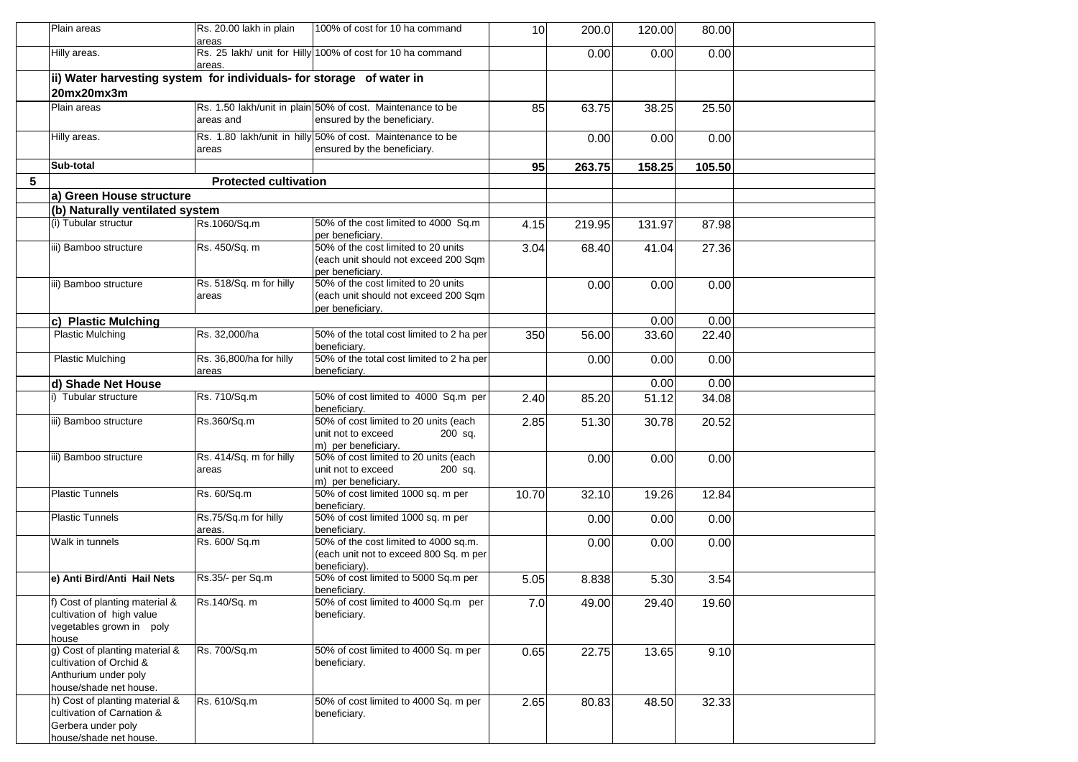|   | Plain areas                                                                                                  | Rs. 20.00 lakh in plain<br>areas | 100% of cost for 10 ha command                                                                   | 10    | 200.0  | 120.00 | 80.00  |  |
|---|--------------------------------------------------------------------------------------------------------------|----------------------------------|--------------------------------------------------------------------------------------------------|-------|--------|--------|--------|--|
|   | Hilly areas.                                                                                                 | areas.                           | Rs. 25 lakh/ unit for Hilly 100% of cost for 10 ha command                                       |       | 0.00   | 0.00   | 0.00   |  |
|   | ii) Water harvesting system for individuals- for storage of water in                                         |                                  |                                                                                                  |       |        |        |        |  |
|   | 20mx20mx3m                                                                                                   |                                  |                                                                                                  |       |        |        |        |  |
|   | Plain areas                                                                                                  | areas and                        | Rs. 1.50 lakh/unit in plain 50% of cost. Maintenance to be<br>ensured by the beneficiary.        | 85    | 63.75  | 38.25  | 25.50  |  |
|   | Hilly areas.                                                                                                 | areas                            | Rs. 1.80 lakh/unit in hilly 50% of cost. Maintenance to be<br>ensured by the beneficiary.        |       | 0.00   | 0.00   | 0.00   |  |
|   | Sub-total                                                                                                    |                                  |                                                                                                  | 95    | 263.75 | 158.25 | 105.50 |  |
| 5 |                                                                                                              | <b>Protected cultivation</b>     |                                                                                                  |       |        |        |        |  |
|   | a) Green House structure                                                                                     |                                  |                                                                                                  |       |        |        |        |  |
|   |                                                                                                              |                                  |                                                                                                  |       |        |        |        |  |
|   | (b) Naturally ventilated system                                                                              |                                  |                                                                                                  |       |        |        |        |  |
|   | (i) Tubular structur                                                                                         | Rs.1060/Sq.m                     | 50% of the cost limited to 4000 Sq.m<br>per beneficiary.                                         | 4.15  | 219.95 | 131.97 | 87.98  |  |
|   | iii) Bamboo structure                                                                                        | Rs. 450/Sq. m                    | 50% of the cost limited to 20 units<br>(each unit should not exceed 200 Sqm<br>per beneficiary.  | 3.04  | 68.40  | 41.04  | 27.36  |  |
|   | iii) Bamboo structure                                                                                        | Rs. 518/Sq. m for hilly<br>areas | 50% of the cost limited to 20 units<br>(each unit should not exceed 200 Sqm<br>per beneficiary.  |       | 0.00   | 0.00   | 0.00   |  |
|   | c) Plastic Mulching                                                                                          |                                  |                                                                                                  |       |        | 0.00   | 0.00   |  |
|   | <b>Plastic Mulching</b>                                                                                      | Rs. 32,000/ha                    | 50% of the total cost limited to 2 ha per<br>beneficiary.                                        | 350   | 56.00  | 33.60  | 22.40  |  |
|   | <b>Plastic Mulching</b>                                                                                      | Rs. 36,800/ha for hilly<br>areas | 50% of the total cost limited to 2 ha per<br>beneficiary.                                        |       | 0.00   | 0.00   | 0.00   |  |
|   | d) Shade Net House                                                                                           |                                  |                                                                                                  |       |        | 0.00   | 0.00   |  |
|   | i) Tubular structure                                                                                         | Rs. 710/Sq.m                     | 50% of cost limited to 4000 Sq.m per<br>beneficiary.                                             | 2.40  | 85.20  | 51.12  | 34.08  |  |
|   | iii) Bamboo structure                                                                                        | Rs.360/Sq.m                      | 50% of cost limited to 20 units (each<br>unit not to exceed<br>200 sq.<br>m) per beneficiary.    | 2.85  | 51.30  | 30.78  | 20.52  |  |
|   | iii) Bamboo structure                                                                                        | Rs. 414/Sq. m for hilly<br>areas | 50% of cost limited to 20 units (each<br>unit not to exceed<br>200 sq.<br>m) per beneficiary.    |       | 0.00   | 0.00   | 0.00   |  |
|   | <b>Plastic Tunnels</b>                                                                                       | Rs. 60/Sq.m                      | 50% of cost limited 1000 sq. m per<br>beneficiary.                                               | 10.70 | 32.10  | 19.26  | 12.84  |  |
|   | <b>Plastic Tunnels</b>                                                                                       | Rs.75/Sq.m for hilly<br>areas.   | 50% of cost limited 1000 sq. m per<br>beneficiary.                                               |       | 0.00   | 0.00   | 0.00   |  |
|   | Walk in tunnels                                                                                              | Rs. 600/ Sq.m                    | 50% of the cost limited to 4000 sq.m.<br>(each unit not to exceed 800 Sq. m per<br>beneficiary). |       | 0.00   | 0.00   | 0.00   |  |
|   | e) Anti Bird/Anti Hail Nets                                                                                  | Rs.35/- per Sq.m                 | 50% of cost limited to 5000 Sq.m per<br>beneficiary.                                             | 5.05  | 8.838  | 5.30   | 3.54   |  |
|   | f) Cost of planting material &<br>cultivation of high value<br>vegetables grown in poly<br>house             | Rs.140/Sq. m                     | 50% of cost limited to 4000 Sq.m per<br>beneficiary.                                             | 7.0   | 49.00  | 29.40  | 19.60  |  |
|   | g) Cost of planting material &<br>cultivation of Orchid &<br>Anthurium under poly<br>house/shade net house.  | Rs. 700/Sq.m                     | 50% of cost limited to 4000 Sq. m per<br>beneficiary.                                            | 0.65  | 22.75  | 13.65  | 9.10   |  |
|   | h) Cost of planting material &<br>cultivation of Carnation &<br>Gerbera under poly<br>house/shade net house. | Rs. 610/Sq.m                     | 50% of cost limited to 4000 Sq. m per<br>beneficiary.                                            | 2.65  | 80.83  | 48.50  | 32.33  |  |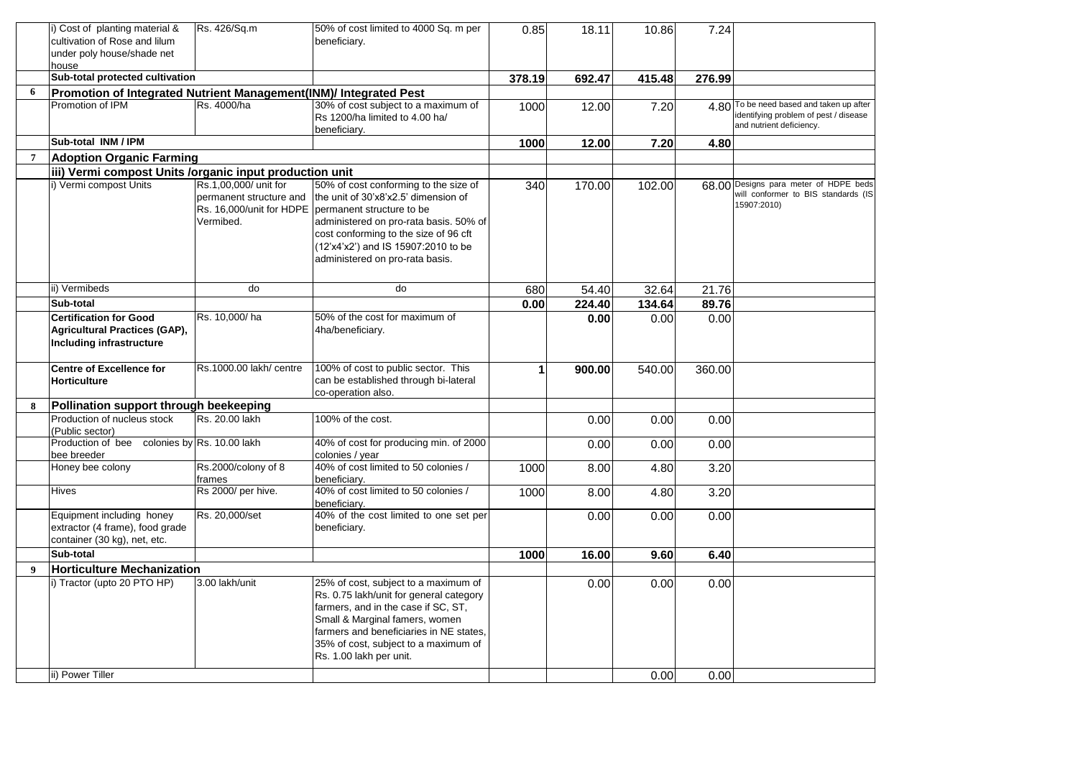|                  | i) Cost of planting material &<br>cultivation of Rose and lilum                              | Rs. 426/Sq.m                         | 50% of cost limited to 4000 Sq. m per<br>beneficiary.                                                                                                                                                                                                                  | 0.85   | 18.11  | 10.86  | 7.24   |                                                                                                               |
|------------------|----------------------------------------------------------------------------------------------|--------------------------------------|------------------------------------------------------------------------------------------------------------------------------------------------------------------------------------------------------------------------------------------------------------------------|--------|--------|--------|--------|---------------------------------------------------------------------------------------------------------------|
|                  | under poly house/shade net                                                                   |                                      |                                                                                                                                                                                                                                                                        |        |        |        |        |                                                                                                               |
|                  | house                                                                                        |                                      |                                                                                                                                                                                                                                                                        |        |        |        |        |                                                                                                               |
|                  | Sub-total protected cultivation                                                              |                                      |                                                                                                                                                                                                                                                                        | 378.19 | 692.47 | 415.48 | 276.99 |                                                                                                               |
| 6                | Promotion of Integrated Nutrient Management(INM)/ Integrated Pest                            |                                      |                                                                                                                                                                                                                                                                        |        |        |        |        |                                                                                                               |
|                  | Promotion of IPM                                                                             | Rs. 4000/ha                          | 30% of cost subject to a maximum of<br>Rs 1200/ha limited to 4.00 ha/<br>beneficiary.                                                                                                                                                                                  | 1000   | 12.00  | 7.20   |        | 4.80 To be need based and taken up after<br>identifying problem of pest / disease<br>and nutrient deficiency. |
|                  | Sub-total INM / IPM                                                                          |                                      |                                                                                                                                                                                                                                                                        | 1000   | 12.00  | 7.20   | 4.80   |                                                                                                               |
| $\overline{7}$   | <b>Adoption Organic Farming</b>                                                              |                                      |                                                                                                                                                                                                                                                                        |        |        |        |        |                                                                                                               |
|                  | iii) Vermi compost Units /organic input production unit                                      |                                      |                                                                                                                                                                                                                                                                        |        |        |        |        |                                                                                                               |
|                  | i) Vermi compost Units                                                                       | Rs.1,00,000/ unit for                | 50% of cost conforming to the size of                                                                                                                                                                                                                                  |        |        |        | 68.00  | Designs para meter of HDPE beds                                                                               |
|                  |                                                                                              | permanent structure and<br>Vermibed. | the unit of 30'x8'x2.5' dimension of<br>Rs. 16,000/unit for HDPE permanent structure to be<br>administered on pro-rata basis. 50% of<br>cost conforming to the size of 96 cft<br>(12'x4'x2') and IS 15907:2010 to be<br>administered on pro-rata basis.                | 340    | 170.00 | 102.00 |        | will conformer to BIS standards (IS<br>15907:2010)                                                            |
|                  | ii) Vermibeds                                                                                | do                                   | do                                                                                                                                                                                                                                                                     | 680    | 54.40  | 32.64  | 21.76  |                                                                                                               |
|                  | Sub-total                                                                                    |                                      |                                                                                                                                                                                                                                                                        | 0.00   | 224.40 | 134.64 | 89.76  |                                                                                                               |
|                  | <b>Certification for Good</b>                                                                | Rs. 10,000/ha                        | 50% of the cost for maximum of                                                                                                                                                                                                                                         |        | 0.00   | 0.00   | 0.00   |                                                                                                               |
|                  | <b>Agricultural Practices (GAP),</b><br>Including infrastructure                             |                                      | 4ha/beneficiary.                                                                                                                                                                                                                                                       |        |        |        |        |                                                                                                               |
|                  | <b>Centre of Excellence for</b><br><b>Horticulture</b>                                       | Rs.1000.00 lakh/ centre              | 100% of cost to public sector. This<br>can be established through bi-lateral<br>co-operation also.                                                                                                                                                                     |        | 900.00 | 540.00 | 360.00 |                                                                                                               |
| 8                | Pollination support through beekeeping                                                       |                                      |                                                                                                                                                                                                                                                                        |        |        |        |        |                                                                                                               |
|                  | Production of nucleus stock                                                                  | Rs. 20.00 lakh                       | 100% of the cost.                                                                                                                                                                                                                                                      |        | 0.00   | 0.00   | 0.00   |                                                                                                               |
|                  | (Public sector)                                                                              |                                      |                                                                                                                                                                                                                                                                        |        |        |        |        |                                                                                                               |
|                  | Production of bee colonies by Rs. 10.00 lakh<br>bee breeder                                  |                                      | 40% of cost for producing min. of 2000<br>colonies / year                                                                                                                                                                                                              |        | 0.00   | 0.00   | 0.00   |                                                                                                               |
|                  | Honey bee colony                                                                             | Rs.2000/colony of 8<br>frames        | 40% of cost limited to 50 colonies /<br>beneficiarv.                                                                                                                                                                                                                   | 1000   | 8.00   | 4.80   | 3.20   |                                                                                                               |
|                  | <b>Hives</b>                                                                                 | Rs 2000/ per hive.                   | 40% of cost limited to 50 colonies /<br>beneficiarv.                                                                                                                                                                                                                   | 1000   | 8.00   | 4.80   | 3.20   |                                                                                                               |
|                  | Equipment including honey<br>extractor (4 frame), food grade<br>container (30 kg), net, etc. | Rs. 20,000/set                       | 40% of the cost limited to one set per<br>beneficiary.                                                                                                                                                                                                                 |        | 0.00   | 0.00   | 0.00   |                                                                                                               |
|                  | Sub-total                                                                                    |                                      |                                                                                                                                                                                                                                                                        | 1000   | 16.00  | 9.60   | 6.40   |                                                                                                               |
| $\boldsymbol{9}$ | <b>Horticulture Mechanization</b>                                                            |                                      |                                                                                                                                                                                                                                                                        |        |        |        |        |                                                                                                               |
|                  | i) Tractor (upto 20 PTO HP)                                                                  | 3.00 lakh/unit                       | 25% of cost, subject to a maximum of<br>Rs. 0.75 lakh/unit for general category<br>farmers, and in the case if SC, ST,<br>Small & Marginal famers, women<br>farmers and beneficiaries in NE states,<br>35% of cost, subject to a maximum of<br>Rs. 1.00 lakh per unit. |        | 0.00   | 0.00   | 0.00   |                                                                                                               |
|                  | ii) Power Tiller                                                                             |                                      |                                                                                                                                                                                                                                                                        |        |        | 0.00   | 0.00   |                                                                                                               |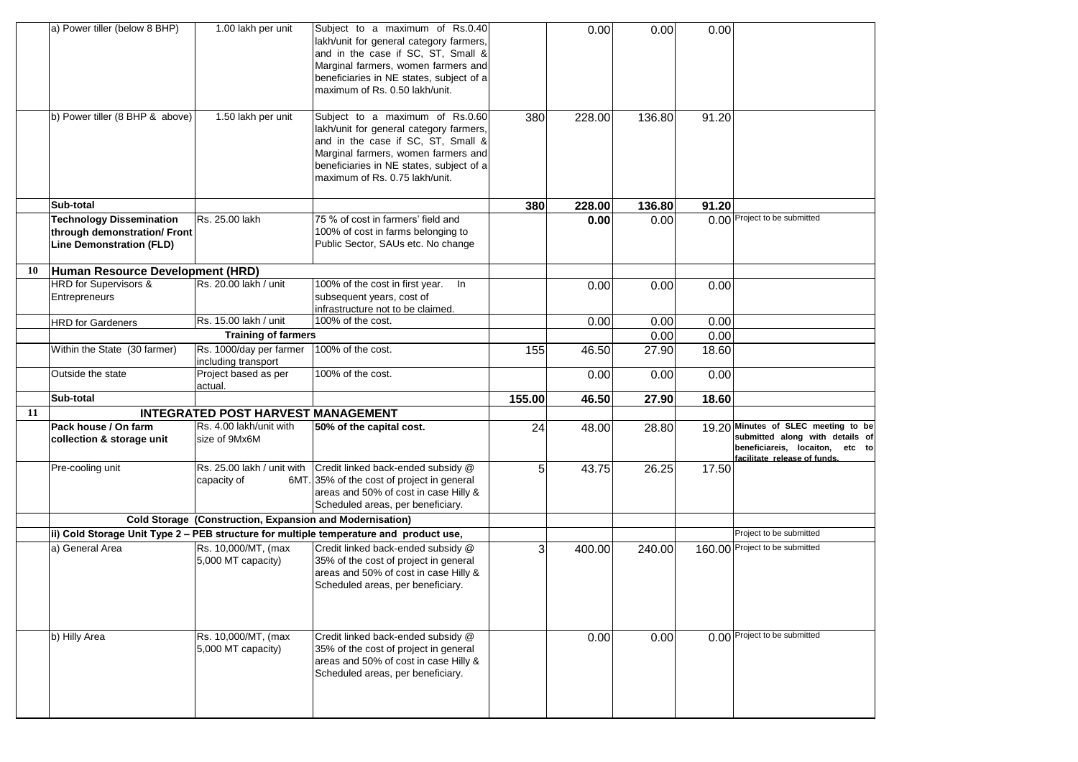|    | a) Power tiller (below 8 BHP)                                                                      | 1.00 lakh per unit                                       | Subject to a maximum of Rs.0.40<br>lakh/unit for general category farmers,<br>and in the case if SC, ST, Small &<br>Marginal farmers, women farmers and<br>beneficiaries in NE states, subject of a<br>maximum of Rs. 0.50 lakh/unit. |        | 0.00   | 0.00   | 0.00  |                                                                                                                                              |
|----|----------------------------------------------------------------------------------------------------|----------------------------------------------------------|---------------------------------------------------------------------------------------------------------------------------------------------------------------------------------------------------------------------------------------|--------|--------|--------|-------|----------------------------------------------------------------------------------------------------------------------------------------------|
|    | b) Power tiller (8 BHP & above)                                                                    | 1.50 lakh per unit                                       | Subject to a maximum of Rs.0.60<br>lakh/unit for general category farmers,<br>and in the case if SC, ST, Small &<br>Marginal farmers, women farmers and<br>beneficiaries in NE states, subject of a<br>maximum of Rs. 0.75 lakh/unit. | 380    | 228.00 | 136.80 | 91.20 |                                                                                                                                              |
|    | Sub-total                                                                                          |                                                          |                                                                                                                                                                                                                                       | 380    | 228.00 | 136.80 | 91.20 |                                                                                                                                              |
|    | <b>Technology Dissemination</b><br>through demonstration/ Front<br><b>Line Demonstration (FLD)</b> | Rs. 25.00 lakh                                           | 75 % of cost in farmers' field and<br>100% of cost in farms belonging to<br>Public Sector, SAUs etc. No change                                                                                                                        |        | 0.00   | 0.00   |       | 0.00 Project to be submitted                                                                                                                 |
| 10 | Human Resource Development (HRD)                                                                   |                                                          |                                                                                                                                                                                                                                       |        |        |        |       |                                                                                                                                              |
|    | <b>HRD</b> for Supervisors &<br>Entrepreneurs                                                      | Rs. 20.00 lakh / unit                                    | 100% of the cost in first year.<br>In<br>subsequent years, cost of<br>infrastructure not to be claimed.                                                                                                                               |        | 0.00   | 0.00   | 0.00  |                                                                                                                                              |
|    | <b>HRD</b> for Gardeners                                                                           | Rs. 15.00 lakh / unit                                    | 100% of the cost.                                                                                                                                                                                                                     |        | 0.00   | 0.00   | 0.00  |                                                                                                                                              |
|    |                                                                                                    | <b>Training of farmers</b>                               |                                                                                                                                                                                                                                       |        |        | 0.00   | 0.00  |                                                                                                                                              |
|    | Within the State (30 farmer)                                                                       | Rs. 1000/day per farmer<br>including transport           | 100% of the cost.                                                                                                                                                                                                                     | 155    | 46.50  | 27.90  | 18.60 |                                                                                                                                              |
|    | Outside the state                                                                                  | Project based as per<br>actual.                          | 100% of the cost.                                                                                                                                                                                                                     |        | 0.00   | 0.00   | 0.00  |                                                                                                                                              |
|    | Sub-total                                                                                          |                                                          |                                                                                                                                                                                                                                       | 155.00 | 46.50  | 27.90  | 18.60 |                                                                                                                                              |
| 11 |                                                                                                    | <b>INTEGRATED POST HARVEST MANAGEMENT</b>                |                                                                                                                                                                                                                                       |        |        |        |       |                                                                                                                                              |
|    | Pack house / On farm<br>collection & storage unit                                                  | Rs. 4.00 lakh/unit with<br>size of 9Mx6M                 | 50% of the capital cost.                                                                                                                                                                                                              | 24     | 48.00  | 28.80  |       | 19.20 Minutes of SLEC meeting to be<br>submitted along with details of<br>beneficiareis, locaiton,<br>etc to<br>facilitate release of funds. |
|    | Pre-cooling unit                                                                                   | Rs. 25.00 lakh / unit with<br>capacity of                | Credit linked back-ended subsidy @<br>6MT. 35% of the cost of project in general<br>areas and 50% of cost in case Hilly &<br>Scheduled areas, per beneficiary.                                                                        | 5      | 43.75  | 26.25  | 17.50 |                                                                                                                                              |
|    |                                                                                                    | Cold Storage (Construction, Expansion and Modernisation) |                                                                                                                                                                                                                                       |        |        |        |       |                                                                                                                                              |
|    |                                                                                                    |                                                          | ii) Cold Storage Unit Type 2 - PEB structure for multiple temperature and product use,                                                                                                                                                |        |        |        |       | Project to be submitted                                                                                                                      |
|    | a) General Area                                                                                    | Rs. 10,000/MT, (max<br>5,000 MT capacity)                | Credit linked back-ended subsidy @<br>35% of the cost of project in general<br>areas and 50% of cost in case Hilly &<br>Scheduled areas, per beneficiary.                                                                             | 3      | 400.00 | 240.00 |       | 160.00 Project to be submitted                                                                                                               |
|    | b) Hilly Area                                                                                      | Rs. 10,000/MT, (max<br>5,000 MT capacity)                | Credit linked back-ended subsidy @<br>35% of the cost of project in general<br>areas and 50% of cost in case Hilly &<br>Scheduled areas, per beneficiary.                                                                             |        | 0.00   | 0.00   |       | 0 00 Project to be submitted                                                                                                                 |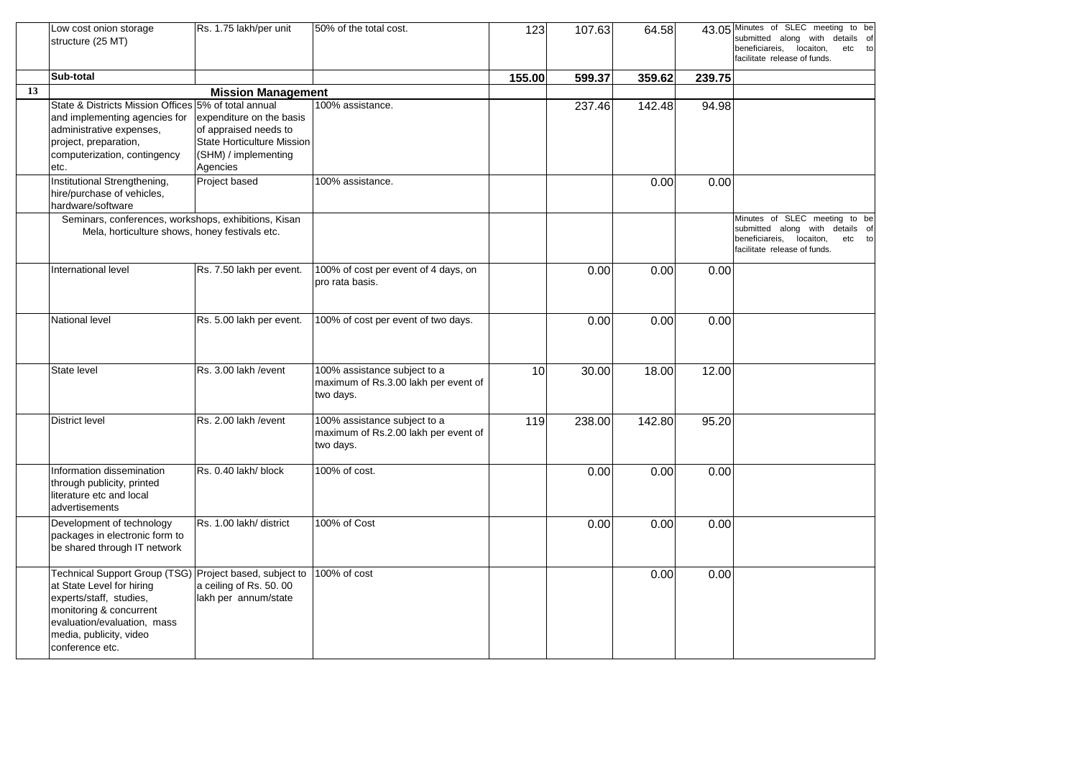|    | Low cost onion storage<br>structure (25 MT)                                                                                                                                                                             | Rs. 1.75 lakh/per unit                                                                                                                    | 50% of the total cost.                                                            | 123    | 107.63 | 64.58  |        | 43.05 Minutes of SLEC meeting to be<br>submitted along with details of<br>beneficiareis,<br>locaiton,<br>etc to                           |
|----|-------------------------------------------------------------------------------------------------------------------------------------------------------------------------------------------------------------------------|-------------------------------------------------------------------------------------------------------------------------------------------|-----------------------------------------------------------------------------------|--------|--------|--------|--------|-------------------------------------------------------------------------------------------------------------------------------------------|
|    | Sub-total                                                                                                                                                                                                               |                                                                                                                                           |                                                                                   | 155.00 | 599.37 | 359.62 | 239.75 | facilitate release of funds.                                                                                                              |
| 13 |                                                                                                                                                                                                                         | <b>Mission Management</b>                                                                                                                 |                                                                                   |        |        |        |        |                                                                                                                                           |
|    | <b>State &amp; Districts Mission Offices</b><br>and implementing agencies for<br>administrative expenses,<br>project, preparation,<br>computerization, contingency<br>etc.                                              | 5% of total annual<br>expenditure on the basis<br>of appraised needs to<br>State Horticulture Mission<br>(SHM) / implementing<br>Agencies | 100% assistance.                                                                  |        | 237.46 | 142.48 | 94.98  |                                                                                                                                           |
|    | Institutional Strengthening,<br>hire/purchase of vehicles,<br>hardware/software                                                                                                                                         | Project based                                                                                                                             | 100% assistance.                                                                  |        |        | 0.00   | 0.00   |                                                                                                                                           |
|    | Seminars, conferences, workshops, exhibitions, Kisan<br>Mela, horticulture shows, honey festivals etc.                                                                                                                  |                                                                                                                                           |                                                                                   |        |        |        |        | Minutes of SLEC meeting to be<br>submitted along with details of<br>beneficiareis,<br>locaiton,<br>etc to<br>facilitate release of funds. |
|    | International level                                                                                                                                                                                                     | Rs. 7.50 lakh per event.                                                                                                                  | 100% of cost per event of 4 days, on<br>pro rata basis.                           |        | 0.00   | 0.00   | 0.00   |                                                                                                                                           |
|    | <b>National level</b>                                                                                                                                                                                                   | Rs. 5.00 lakh per event.                                                                                                                  | 100% of cost per event of two days.                                               |        | 0.00   | 0.00   | 0.00   |                                                                                                                                           |
|    | State level                                                                                                                                                                                                             | Rs. 3.00 lakh / event                                                                                                                     | 100% assistance subject to a<br>maximum of Rs.3.00 lakh per event of<br>two days. | 10     | 30.00  | 18.00  | 12.00  |                                                                                                                                           |
|    | <b>District level</b>                                                                                                                                                                                                   | Rs. 2.00 lakh / event                                                                                                                     | 100% assistance subject to a<br>maximum of Rs.2.00 lakh per event of<br>two days. | 119    | 238.00 | 142.80 | 95.20  |                                                                                                                                           |
|    | Information dissemination<br>through publicity, printed<br>literature etc and local<br>advertisements                                                                                                                   | Rs. 0.40 lakh/ block                                                                                                                      | 100% of cost.                                                                     |        | 0.00   | 0.00   | 0.00   |                                                                                                                                           |
|    | Development of technology<br>packages in electronic form to<br>be shared through IT network                                                                                                                             | Rs. 1.00 lakh/ district                                                                                                                   | 100% of Cost                                                                      |        | 0.00   | 0.00   | 0.00   |                                                                                                                                           |
|    | Technical Support Group (TSG) Project based, subject to<br>at State Level for hiring<br>experts/staff, studies,<br>monitoring & concurrent<br>evaluation/evaluation, mass<br>media, publicity, video<br>conference etc. | a ceiling of Rs. 50.00<br>lakh per annum/state                                                                                            | 100% of cost                                                                      |        |        | 0.00   | 0.00   |                                                                                                                                           |